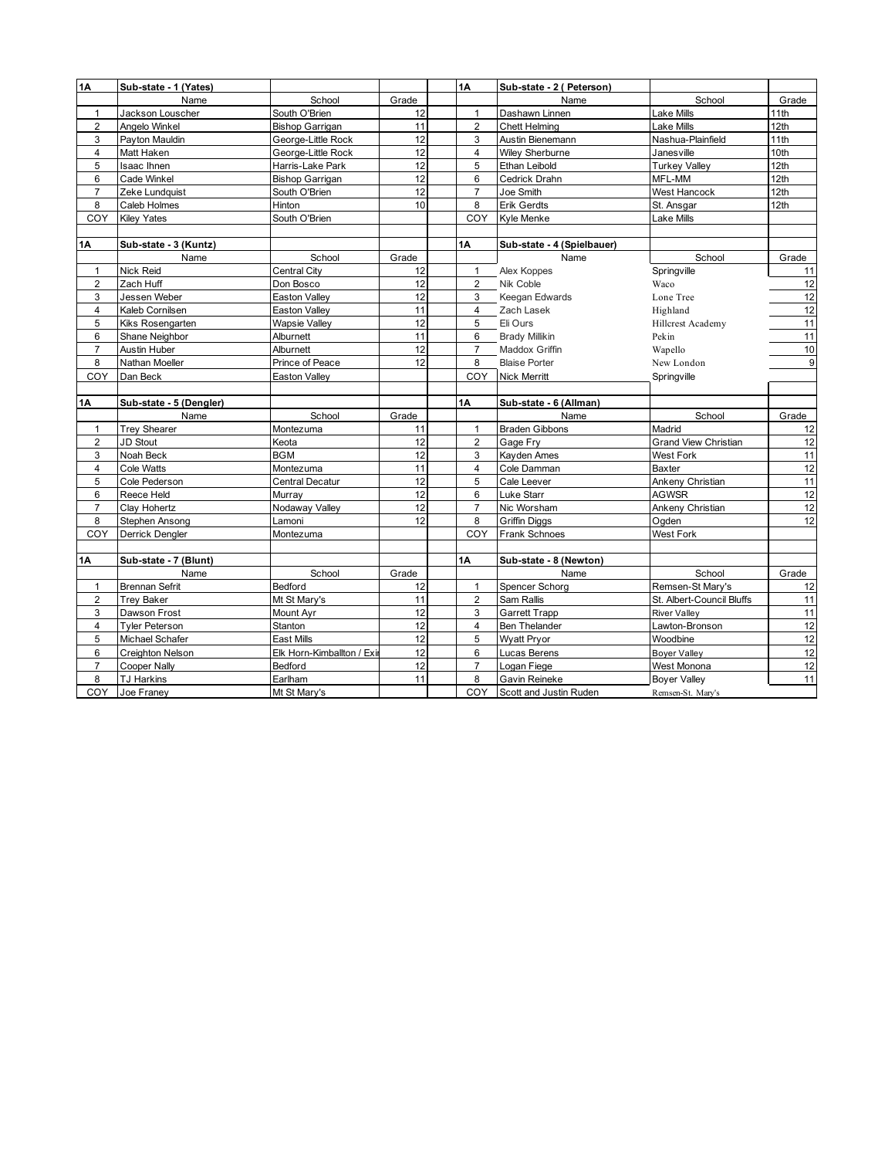| 1A                      | Sub-state - 1 (Yates)   |                            |       | 1A |                | Sub-state - 2 ( Peterson)  |                             |       |
|-------------------------|-------------------------|----------------------------|-------|----|----------------|----------------------------|-----------------------------|-------|
|                         | Name                    | School                     | Grade |    |                | Name                       | School                      | Grade |
| $\mathbf{1}$            | Jackson Louscher        | South O'Brien              | 12    |    | $\mathbf{1}$   | Dashawn Linnen             | Lake Mills                  | 11th  |
| $\overline{2}$          | Angelo Winkel           | <b>Bishop Garrigan</b>     | 11    |    | $\overline{2}$ | <b>Chett Helming</b>       | Lake Mills                  | 12th  |
| 3                       | Payton Mauldin          | George-Little Rock         | 12    |    | 3              | Austin Bienemann           | Nashua-Plainfield           | 11th  |
| $\overline{4}$          | Matt Haken              | George-Little Rock         | 12    |    | $\overline{4}$ | <b>Wilev Sherburne</b>     | Janesville                  | 10th  |
| 5                       | <b>Isaac Ihnen</b>      | Harris-Lake Park           | 12    |    | 5              | Ethan Leibold              | <b>Turkey Valley</b>        | 12th  |
| 6                       | <b>Cade Winkel</b>      | Bishop Garrigan            | 12    |    | 6              | Cedrick Drahn              | MFL-MM                      | 12th  |
| $\overline{7}$          | Zeke Lundquist          | South O'Brien              | 12    |    | $\overline{7}$ | Joe Smith                  | <b>West Hancock</b>         | 12th  |
| 8                       | Caleb Holmes            | Hinton                     | 10    |    | 8              | Erik Gerdts                | St. Ansgar                  | 12th  |
| COY                     | <b>Kiley Yates</b>      | South O'Brien              |       |    | COY            | Kyle Menke                 | Lake Mills                  |       |
|                         |                         |                            |       |    |                |                            |                             |       |
| <b>1A</b>               | Sub-state - 3 (Kuntz)   |                            |       | 1Α |                | Sub-state - 4 (Spielbauer) |                             |       |
|                         | Name                    | School                     | Grade |    |                | Name                       | School                      | Grade |
| $\mathbf{1}$            | Nick Reid               | Central City               | 12    |    | $\mathbf{1}$   | Alex Koppes                | Springville                 | 11    |
| $\overline{2}$          | Zach Huff               | Don Bosco                  | 12    |    | $\overline{2}$ | Nik Coble                  | Waco                        | 12    |
| 3                       | Jessen Weber            | <b>Easton Valley</b>       | 12    |    | 3              | Keegan Edwards             | Lone Tree                   | 12    |
| $\overline{4}$          | Kaleb Cornilsen         | <b>Easton Valley</b>       | 11    |    | 4              | Zach Lasek                 | Highland                    | 12    |
| 5                       | Kiks Rosengarten        | <b>Wapsie Valley</b>       | 12    |    | 5              | Eli Ours                   | Hillcrest Academy           | 11    |
| 6                       | Shane Neighbor          | Alburnett                  | 11    |    | 6              | <b>Brady Millikin</b>      | Pekin                       | 11    |
| $\overline{7}$          | Austin Huber            | Alburnett                  | 12    |    | $\overline{7}$ | Maddox Griffin             | Wapello                     | 10    |
| 8                       | Nathan Moeller          | Prince of Peace            | 12    |    | 8              | <b>Blaise Porter</b>       | New London                  | 9     |
| COY                     | Dan Beck                | <b>Easton Valley</b>       |       |    | COY            | <b>Nick Merritt</b>        | Springville                 |       |
|                         |                         |                            |       |    |                |                            |                             |       |
| 1Α                      | Sub-state - 5 (Dengler) |                            |       | 1A |                | Sub-state - 6 (Allman)     |                             |       |
|                         | Name                    | School                     | Grade |    |                | Name                       | School                      | Grade |
| $\mathbf{1}$            | <b>Trey Shearer</b>     | Montezuma                  | 11    |    | $\mathbf{1}$   | <b>Braden Gibbons</b>      | Madrid                      | 12    |
| $\overline{2}$          | JD Stout                | Keota                      | 12    |    | $\overline{2}$ | Gage Fry                   | <b>Grand View Christian</b> | 12    |
| 3                       | Noah Beck               | <b>BGM</b>                 | 12    |    | 3              | Kayden Ames                | West Fork                   | 11    |
| $\overline{\mathbf{4}}$ | Cole Watts              | Montezuma                  | 11    |    | $\overline{4}$ | Cole Damman                | Baxter                      | 12    |
| 5                       | Cole Pederson           | Central Decatur            | 12    |    | 5              | Cale Leever                | Ankeny Christian            | 11    |
| 6                       | Reece Held              | Murray                     | 12    |    | 6              | Luke Starr                 | <b>AGWSR</b>                | 12    |
| $\overline{7}$          | Clay Hohertz            | Nodaway Valley             | 12    |    | $\overline{7}$ | Nic Worsham                | Ankeny Christian            | 12    |
| 8                       | Stephen Ansong          | Lamoni                     | 12    |    | 8              | <b>Griffin Diggs</b>       | Oaden                       | 12    |
| COY                     | Derrick Dengler         | Montezuma                  |       |    | COY            | Frank Schnoes              | West Fork                   |       |
|                         |                         |                            |       |    |                |                            |                             |       |
| 1Α                      | Sub-state - 7 (Blunt)   |                            |       | 1A |                | Sub-state - 8 (Newton)     |                             |       |
|                         | Name                    | School                     | Grade |    |                | Name                       | School                      | Grade |
| $\mathbf{1}$            | <b>Brennan Sefrit</b>   | Bedford                    | 12    |    | $\mathbf{1}$   | Spencer Schorg             | Remsen-St Mary's            | 12    |
| $\overline{2}$          | <b>Trey Baker</b>       | Mt St Mary's               | 11    |    | $\overline{2}$ | Sam Rallis                 | St. Albert-Council Bluffs   | 11    |
| 3                       | Dawson Frost            | Mount Ayr                  | 12    |    | 3              | <b>Garrett Trapp</b>       | <b>River Valley</b>         | 11    |
| $\overline{4}$          | <b>Tyler Peterson</b>   | Stanton                    | 12    |    | $\overline{4}$ | <b>Ben Thelander</b>       | Lawton-Bronson              | 12    |
| 5                       | Michael Schafer         | East Mills                 | 12    |    | 5              | Wyatt Pryor                | Woodbine                    | 12    |
| 6                       | Creighton Nelson        | Elk Horn-Kimballton / Exir | 12    |    | 6              | Lucas Berens               | <b>Boyer Valley</b>         | 12    |
| $\overline{7}$          | <b>Cooper Nally</b>     | Bedford                    | 12    |    | $\overline{7}$ | Logan Fiege                | West Monona                 | 12    |
| 8                       | <b>TJ Harkins</b>       | Earlham                    | 11    |    | 8              | Gavin Reineke              | <b>Boyer Valley</b>         | 11    |
| COY                     | Joe Franey              | Mt St Mary's               |       |    | COY            | Scott and Justin Ruden     | Remsen-St. Mary's           |       |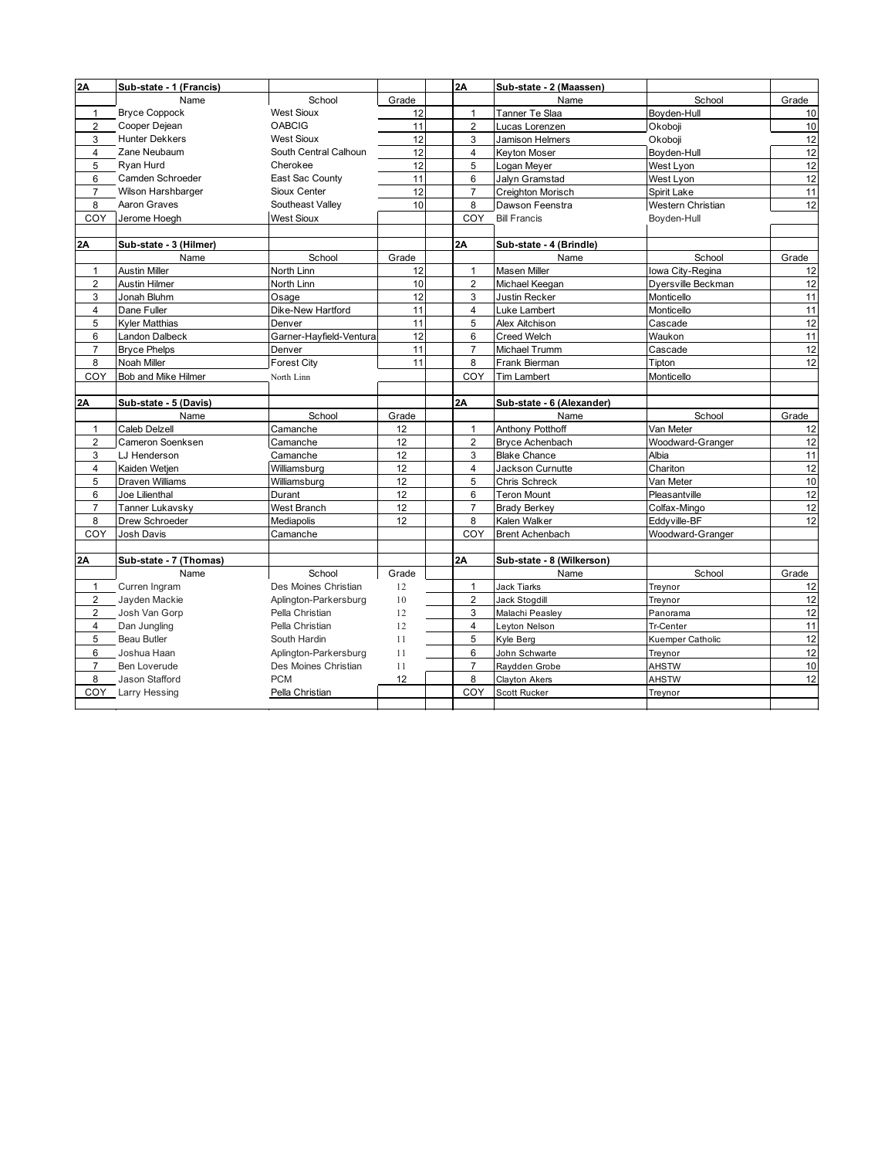| 2A             | Sub-state - 1 (Francis) |                         |       | 2A             | Sub-state - 2 (Maassen)   |                    |       |
|----------------|-------------------------|-------------------------|-------|----------------|---------------------------|--------------------|-------|
|                | Name                    | School                  | Grade |                | Name                      | School             | Grade |
| $\mathbf{1}$   | <b>Bryce Coppock</b>    | <b>West Sioux</b>       | 12    | $\mathbf{1}$   | Tanner Te Slaa            | Boyden-Hull        | 10    |
| $\overline{2}$ | Cooper Dejean           | <b>OABCIG</b>           | 11    | $\overline{2}$ | Lucas Lorenzen            | Okoboji            | 10    |
| 3              | <b>Hunter Dekkers</b>   | <b>West Sioux</b>       | 12    | 3              | Jamison Helmers           | Okoboii            | 12    |
| $\overline{4}$ | Zane Neubaum            | South Central Calhoun   | 12    | $\overline{4}$ | Keyton Moser              | Boyden-Hull        | 12    |
| 5              | Ryan Hurd               | Cherokee                | 12    | 5              | Logan Meyer               | West Lyon          | 12    |
| 6              | Camden Schroeder        | East Sac County         | 11    | 6              | Jalvn Gramstad            | West Lyon          | 12    |
| $\overline{7}$ | Wilson Harshbarger      | Sioux Center            | 12    | $\overline{7}$ | Creighton Morisch         | Spirit Lake        | 11    |
| 8              | Aaron Graves            | Southeast Valley        | 10    | 8              | Dawson Feenstra           | Western Christian  | 12    |
| COY            | Jerome Hoegh            | <b>West Sioux</b>       |       | COY            | <b>Bill Francis</b>       | Boyden-Hull        |       |
|                |                         |                         |       |                |                           |                    |       |
| 2A             | Sub-state - 3 (Hilmer)  |                         |       | 2A             | Sub-state - 4 (Brindle)   |                    |       |
|                | Name                    | School                  | Grade |                | Name                      | School             | Grade |
| $\mathbf{1}$   | <b>Austin Miller</b>    | North Linn              | 12    | $\mathbf{1}$   | Masen Miller              | lowa City-Regina   | 12    |
| $\overline{2}$ | <b>Austin Hilmer</b>    | North Linn              | 10    | $\overline{2}$ | Michael Keegan            | Dversville Beckman | 12    |
| 3              | Jonah Bluhm             | Osage                   | 12    | 3              | Justin Recker             | Monticello         | 11    |
| $\overline{4}$ | Dane Fuller             | Dike-New Hartford       | 11    | $\overline{4}$ | Luke Lambert              | Monticello         | 11    |
| 5              | Kyler Matthias          | Denver                  | 11    | 5              | Alex Aitchison            | Cascade            | 12    |
| 6              | Landon Dalbeck          | Garner-Hayfield-Ventura | 12    | 6              | <b>Creed Welch</b>        | Waukon             | 11    |
| $\overline{7}$ | <b>Bryce Phelps</b>     | Denver                  | 11    | $\overline{7}$ | Michael Trumm             | Cascade            | 12    |
| 8              | Noah Miller             | <b>Forest City</b>      | 11    | 8              | Frank Bierman             | Tipton             | 12    |
| COY            | Bob and Mike Hilmer     | North Linn              |       | COY            | <b>Tim Lambert</b>        | Monticello         |       |
|                |                         |                         |       |                |                           |                    |       |
|                |                         |                         |       |                |                           |                    |       |
| 2A             | Sub-state - 5 (Davis)   |                         |       | 2A             | Sub-state - 6 (Alexander) |                    |       |
|                | Name                    | School                  | Grade |                | Name                      | School             | Grade |
| $\mathbf{1}$   | Caleb Delzell           | Camanche                | 12    | $\mathbf{1}$   | Anthony Potthoff          | Van Meter          | 12    |
| $\overline{2}$ | Cameron Soenksen        | Camanche                | 12    | $\overline{2}$ | Bryce Achenbach           | Woodward-Granger   | 12    |
| 3              | LJ Henderson            | Camanche                | 12    | 3              | <b>Blake Chance</b>       | Albia              | 11    |
| $\overline{4}$ | Kaiden Wetjen           | Williamsburg            | 12    | $\overline{4}$ | Jackson Curnutte          | Chariton           | 12    |
| 5              | <b>Draven Williams</b>  | Williamsburg            | 12    | 5              | Chris Schreck             | Van Meter          | 10    |
| 6              | Joe Lilienthal          | Durant                  | 12    | 6              | <b>Teron Mount</b>        | Pleasantville      | 12    |
| $\overline{7}$ | Tanner Lukavsky         | West Branch             | 12    | $\overline{7}$ | <b>Brady Berkey</b>       | Colfax-Mingo       | 12    |
| 8              | Drew Schroeder          | Mediapolis              | 12    | 8              | Kalen Walker              | Eddyville-BF       | 12    |
| COY            | Josh Davis              | Camanche                |       | COY            | <b>Brent Achenbach</b>    | Woodward-Granger   |       |
|                |                         |                         |       |                |                           |                    |       |
| 2Α             | Sub-state - 7 (Thomas)  |                         |       | 2A             | Sub-state - 8 (Wilkerson) |                    |       |
|                | Name                    | School                  | Grade |                | Name                      | School             | Grade |
| $\mathbf{1}$   | Curren Ingram           | Des Moines Christian    | 12    | 1              | Jack Tiarks               | Treynor            | 12    |
| $\overline{2}$ | Jayden Mackie           | Aplington-Parkersburg   | 10    | $\overline{c}$ | Jack Stogdill             | Treynor            | 12    |
| 2              | Josh Van Gorp           | Pella Christian         | 12    | 3              | Malachi Peasley           | Panorama           | 12    |
| $\overline{4}$ | Dan Jungling            | Pella Christian         | 12    | 4              | Leyton Nelson             | Tr-Center          | 11    |
| 5              | <b>Beau Butler</b>      | South Hardin            | 11    | 5              | Kyle Berg                 | Kuemper Catholic   | 12    |
| 6              | Joshua Haan             | Aplington-Parkersburg   | 11    | 6              | John Schwarte             | Treynor            | 12    |
| $\overline{7}$ | <b>Ben Loverude</b>     | Des Moines Christian    | 11    | $\overline{7}$ | Raydden Grobe             | <b>AHSTW</b>       | 10    |
| 8              | Jason Stafford          | <b>PCM</b>              | 12    | 8              | <b>Clayton Akers</b>      | <b>AHSTW</b>       | 12    |
| COY            | Larry Hessing           | Pella Christian         |       | COY            | Scott Rucker              | Treynor            |       |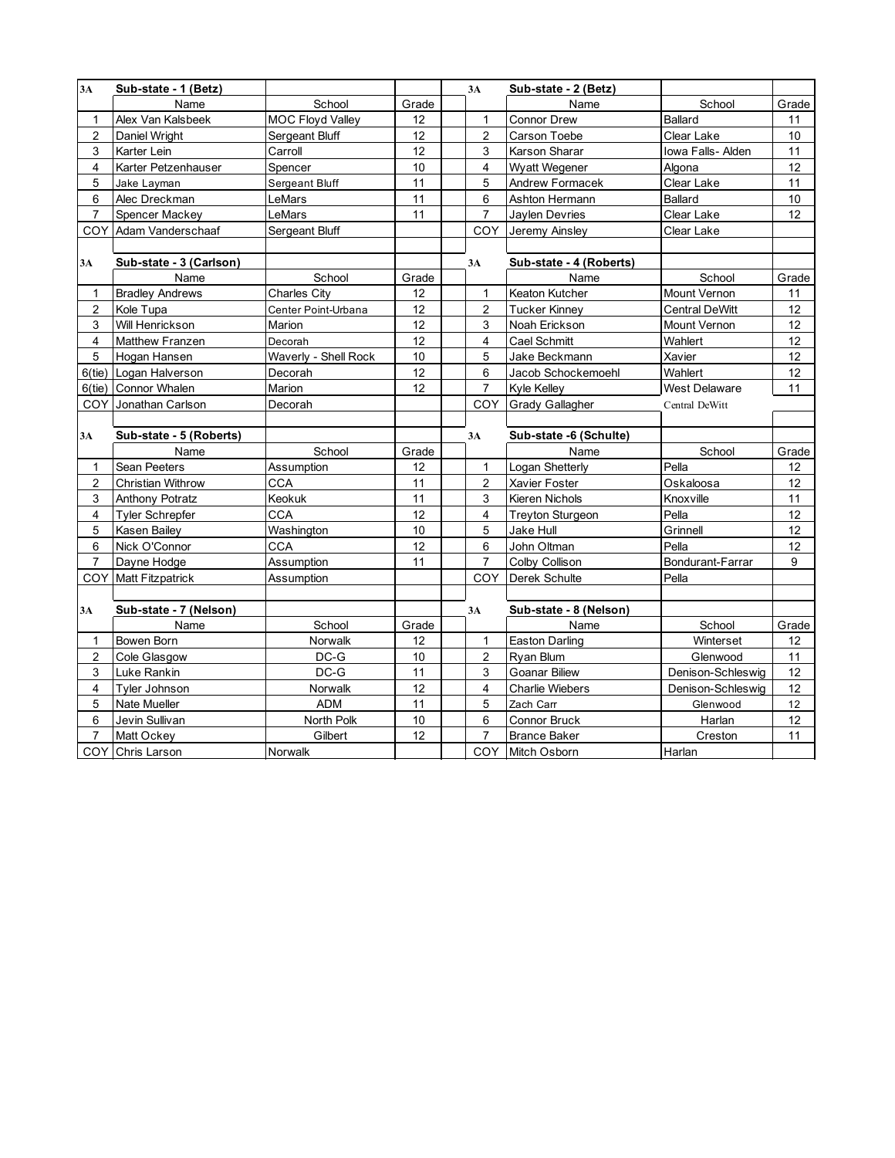| 3A                      | Sub-state - 1 (Betz)    |                         |       | 3A             | Sub-state - 2 (Betz)    |                       |       |
|-------------------------|-------------------------|-------------------------|-------|----------------|-------------------------|-----------------------|-------|
|                         | Name                    | School                  | Grade |                | Name                    | School                | Grade |
| $\mathbf{1}$            | Alex Van Kalsbeek       | <b>MOC Floyd Valley</b> | 12    | $\mathbf{1}$   | Connor Drew             | Ballard               | 11    |
| $\overline{2}$          | Daniel Wright           | Sergeant Bluff          | 12    | $\overline{2}$ | Carson Toebe            | Clear Lake            | 10    |
| $\mathsf 3$             | Karter Lein             | Carroll                 | 12    | 3              | Karson Sharar           | Iowa Falls- Alden     | 11    |
| $\overline{\mathbf{4}}$ | Karter Petzenhauser     | Spencer                 | 10    | $\overline{4}$ | Wyatt Wegener           | Algona                | 12    |
| 5                       | Jake Layman             | Sergeant Bluff          | 11    | 5              | Andrew Formacek         | Clear Lake            | 11    |
| 6                       | Alec Dreckman           | LeMars                  | 11    | 6              | Ashton Hermann          | Ballard               | 10    |
| $\overline{7}$          | Spencer Mackey          | LeMars                  | 11    | $\overline{7}$ | Jaylen Devries          | Clear Lake            | 12    |
| COY                     | Adam Vanderschaaf       | Sergeant Bluff          |       | COY            | Jeremy Ainsley          | Clear Lake            |       |
|                         |                         |                         |       |                |                         |                       |       |
| 3A                      | Sub-state - 3 (Carlson) |                         |       | 3A             | Sub-state - 4 (Roberts) |                       |       |
|                         | Name                    | School                  | Grade |                | Name                    | School                | Grade |
| $\mathbf{1}$            | <b>Bradley Andrews</b>  | <b>Charles City</b>     | 12    | $\mathbf{1}$   | Keaton Kutcher          | Mount Vernon          | 11    |
| $\overline{2}$          | Kole Tupa               | Center Point-Urbana     | 12    | $\overline{2}$ | <b>Tucker Kinney</b>    | <b>Central DeWitt</b> | 12    |
| 3                       | Will Henrickson         | Marion                  | 12    | 3              | Noah Erickson           | Mount Vernon          | 12    |
| $\overline{4}$          | <b>Matthew Franzen</b>  | Decorah                 | 12    | 4              | Cael Schmitt            | Wahlert               | 12    |
| 5                       | Hogan Hansen            | Waverly - Shell Rock    | 10    | 5              | Jake Beckmann           | Xavier                | 12    |
| $6$ (tie)               | Logan Halverson         | Decorah                 | 12    | 6              | Jacob Schockemoehl      | Wahlert               | 12    |
| $6$ (tie)               | Connor Whalen           | Marion                  | 12    | $\overline{7}$ | Kyle Kelley             | <b>West Delaware</b>  | 11    |
| COY                     | Jonathan Carlson        | Decorah                 |       | COY            | <b>Grady Gallagher</b>  | Central DeWitt        |       |
|                         |                         |                         |       |                |                         |                       |       |
| 3A                      | Sub-state - 5 (Roberts) |                         |       | 3A             | Sub-state -6 (Schulte)  |                       |       |
|                         | Name                    | School                  | Grade |                | Name                    | School                | Grade |
| 1                       | Sean Peeters            | Assumption              | 12    | 1              | Logan Shetterly         | Pella                 | 12    |
| $\overline{2}$          | Christian Withrow       | CCA                     | 11    | $\overline{2}$ | Xavier Foster           | Oskaloosa             | 12    |
| 3                       | Anthony Potratz         | Keokuk                  | 11    | 3              | Kieren Nichols          | Knoxville             | 11    |
| 4                       | Tyler Schrepfer         | CCA                     | 12    | 4              | <b>Treyton Sturgeon</b> | Pella                 | 12    |
| $\,$ 5 $\,$             | Kasen Bailey            | Washington              | 10    | 5              | Jake Hull               | Grinnell              | 12    |
| 6                       | Nick O'Connor           | <b>CCA</b>              | 12    | 6              | John Oltman             | Pella                 | 12    |
| $\overline{7}$          | Dayne Hodge             | Assumption              | 11    | $\overline{7}$ | Colby Collison          | Bondurant-Farrar      | 9     |
| COY                     | <b>Matt Fitzpatrick</b> | Assumption              |       | COY            | Derek Schulte           | Pella                 |       |
|                         |                         |                         |       |                |                         |                       |       |
| 3A                      | Sub-state - 7 (Nelson)  |                         |       | 3A             | Sub-state - 8 (Nelson)  |                       |       |
|                         | Name                    | School                  | Grade |                | Name                    | School                | Grade |
| $\mathbf 1$             | Bowen Born              | Norwalk                 | 12    | 1              | <b>Easton Darling</b>   | Winterset             | 12    |
| $\sqrt{2}$              | Cole Glasgow            | $DC-G$                  | 10    | 2              | Ryan Blum               | Glenwood              | 11    |
| 3                       | Luke Rankin             | $DC-G$                  | 11    | 3              | Goanar Biliew           | Denison-Schleswig     | 12    |
| 4                       | Tyler Johnson           | Norwalk                 | 12    | 4              | <b>Charlie Wiebers</b>  | Denison-Schleswig     | 12    |
| 5                       | Nate Mueller            | <b>ADM</b>              | 11    | 5              | Zach Carr               | Glenwood              | 12    |
| 6                       | Jevin Sullivan          | North Polk              | 10    | 6              | Connor Bruck            | Harlan                | 12    |
| $\overline{7}$          | Matt Ockey              | Gilbert                 | 12    | $\overline{7}$ | <b>Brance Baker</b>     | Creston               | 11    |
|                         | COY Chris Larson        | <b>Norwalk</b>          |       |                | COY Mitch Osborn        | Harlan                |       |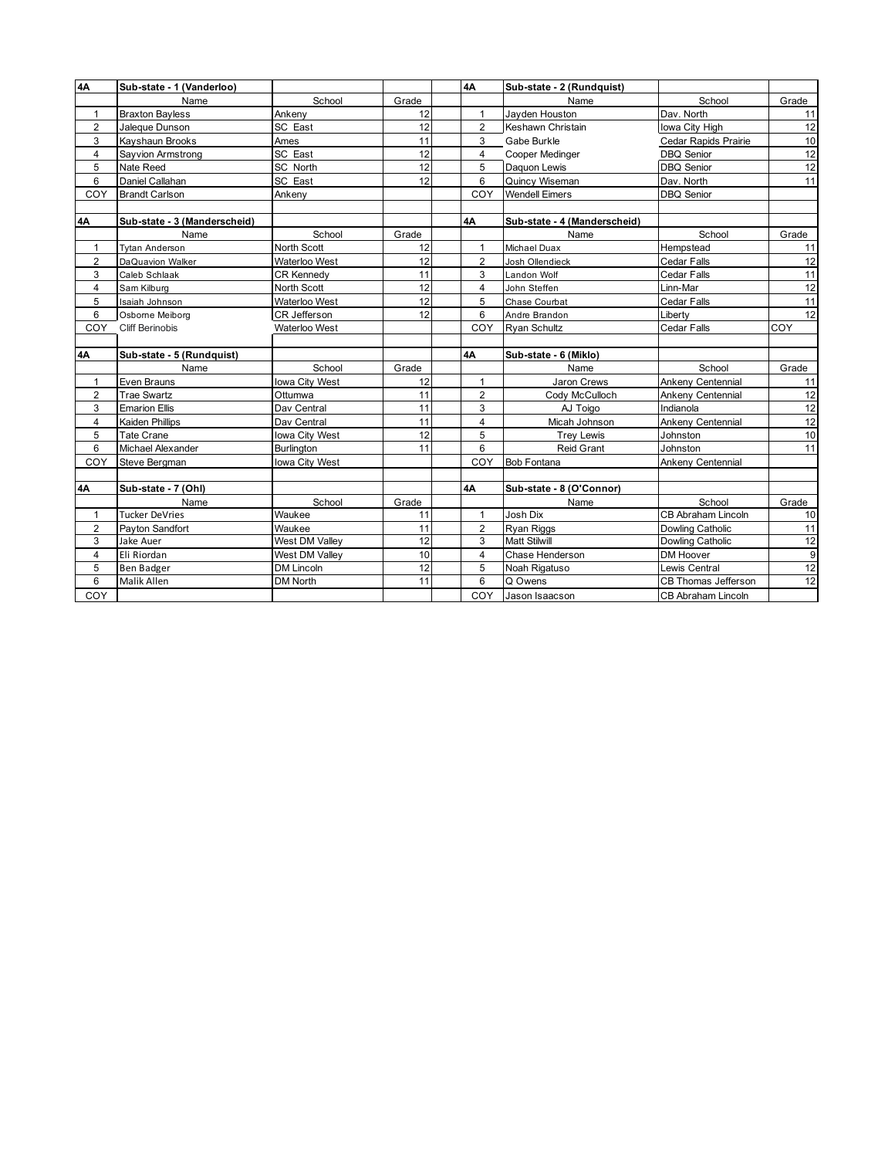| 4A             | Sub-state - 1 (Vanderloo)    |                   |       | 4Α             | Sub-state - 2 (Rundquist)    |                            |                |
|----------------|------------------------------|-------------------|-------|----------------|------------------------------|----------------------------|----------------|
|                | Name                         | School            | Grade |                | Name                         | School                     | Grade          |
| 1              | <b>Braxton Bayless</b>       | Ankeny            | 12    | $\mathbf{1}$   | Jayden Houston               | Dav. North                 | 11             |
| $\overline{2}$ | Jaleque Dunson               | SC East           | 12    | $\overline{2}$ | Keshawn Christain            | Iowa City High             |                |
| 3              | Kayshaun Brooks              | Ames              | 11    | 3              | Gabe Burkle                  | Cedar Rapids Prairie       | 12<br>10       |
| $\overline{4}$ | Sayvion Armstrong            | SC East           | 12    | $\overline{4}$ | Cooper Medinger              | <b>DBQ Senior</b>          | 12             |
| 5              | Nate Reed                    | SC North          | 12    | 5              | Daquon Lewis                 | <b>DBQ</b> Senior          | 12             |
| 6              | Daniel Callahan              | SC East           | 12    | 6              | Quincy Wiseman               | Dav. North                 | 11             |
| COY            | <b>Brandt Carlson</b>        | Ankeny            |       | COY            | <b>Wendell Eimers</b>        | <b>DBQ Senior</b>          |                |
|                |                              |                   |       |                |                              |                            |                |
| 4Α             | Sub-state - 3 (Manderscheid) |                   |       | 4A             | Sub-state - 4 (Manderscheid) |                            |                |
|                | Name                         | School            | Grade |                | Name                         | School                     | Grade          |
| $\mathbf{1}$   | <b>Tytan Anderson</b>        | North Scott       | 12    | $\mathbf{1}$   | Michael Duax                 | Hempstead                  | 11             |
| 2              | DaQuavion Walker             | Waterloo West     | 12    | $\overline{2}$ | Josh Ollendieck              | Cedar Falls                | 12             |
| 3              | Caleb Schlaak                | <b>CR Kennedv</b> | 11    | 3              | Landon Wolf                  | Cedar Falls                | 11             |
| $\overline{4}$ | Sam Kilburg                  | North Scott       | 12    | 4              | John Steffen                 | Linn-Mar                   | 12             |
| 5              | Isaiah Johnson               | Waterloo West     | 12    | 5              | Chase Courbat                | Cedar Falls                | 11             |
| 6              | Osborne Meiborg              | CR Jefferson      | 12    | 6              | Andre Brandon                | Liberty                    | 12             |
| COY            | <b>Cliff Berinobis</b>       | Waterloo West     |       | COY            | Ryan Schultz                 | Cedar Falls                | COY            |
|                |                              |                   |       |                |                              |                            |                |
| 4Α             | Sub-state - 5 (Rundquist)    |                   |       | 4A             | Sub-state - 6 (Miklo)        |                            |                |
|                | Name                         | School            | Grade |                | Name                         | School                     | Grade          |
| $\mathbf{1}$   | Even Brauns                  | lowa City West    | 12    | $\mathbf{1}$   | Jaron Crews                  | Ankeny Centennial          | 11             |
| 2              | <b>Trae Swartz</b>           | Ottumwa           | 11    | $\overline{2}$ | Cody McCulloch               | Ankeny Centennial          | 12             |
| 3              | <b>Emarion Ellis</b>         | Dav Central       | 11    | 3              | AJ Toigo                     | Indianola                  | 12             |
| $\overline{4}$ | <b>Kaiden Phillips</b>       | Dav Central       | 11    | $\overline{4}$ | Micah Johnson                | Ankeny Centennial          | 12             |
| 5              | <b>Tate Crane</b>            | lowa City West    | 12    | 5              | <b>Trey Lewis</b>            | Johnston                   | 10             |
| 6              | Michael Alexander            | Burlington        | 11    | 6              | Reid Grant                   | Johnston                   | 11             |
| COY            | Steve Bergman                | lowa City West    |       | COY            | <b>Bob Fontana</b>           | Ankeny Centennial          |                |
|                |                              |                   |       |                |                              |                            |                |
| 4A             | Sub-state - 7 (Ohl)          |                   |       | 4A             | Sub-state - 8 (O'Connor)     |                            |                |
|                | Name                         | School            | Grade |                | Name                         | School                     | Grade          |
| $\mathbf{1}$   | <b>Tucker DeVries</b>        | Waukee            | 11    | $\mathbf{1}$   | Josh Dix                     | <b>CB Abraham Lincoln</b>  | 10             |
| $\overline{2}$ | Payton Sandfort              | Waukee            | 11    | $\overline{2}$ | Ryan Riggs                   | <b>Dowling Catholic</b>    | 11             |
| 3              | Jake Auer                    | West DM Valley    | 12    | 3              | <b>Matt Stilwill</b>         | Dowling Catholic           | 12             |
| $\overline{4}$ | Eli Riordan                  | West DM Valley    | 10    | $\overline{4}$ | Chase Henderson              | DM Hoover                  | $\overline{9}$ |
| 5              | <b>Ben Badger</b>            | DM Lincoln        | 12    | 5              | Noah Rigatuso                | Lewis Central              | 12             |
| 6              | Malik Allen                  | <b>DM North</b>   | 11    | 6              | Q Owens                      | <b>CB Thomas Jefferson</b> | 12             |
| COY            |                              |                   |       | COY            | Jason Isaacson               | <b>CB Abraham Lincoln</b>  |                |